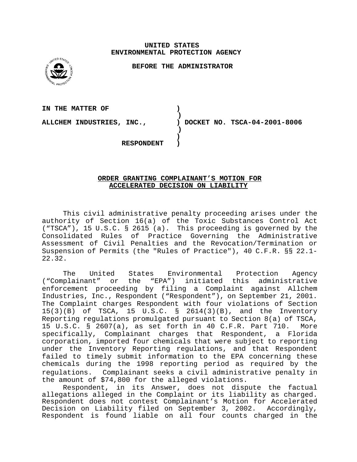### **UNITED STATES ENVIRONMENTAL PROTECTION AGENCY**

**BEFORE THE ADMINISTRATOR** 



**IN THE MATTER OF )**  $\lambda$ **) ALLCHEM INDUSTRIES, INC., ) DOCKET NO. TSCA-04-2001-8006 ) ) RESPONDENT )** 

# **ORDER GRANTING COMPLAINANT'S MOTION FOR ACCELERATED DECISION ON LIABILITY**

This civil administrative penalty proceeding arises under the authority of Section 16(a) of the Toxic Substances Control Act ("TSCA"), 15 U.S.C. § 2615 (a). This proceeding is governed by the Consolidated Rules of Practice Governing the Administrative Assessment of Civil Penalties and the Revocation/Termination or Suspension of Permits (the "Rules of Practice"), 40 C.F.R. §§ 22.1- 22.32.

The United States Environmental Protection Agency ("Complainant" or the "EPA") initiated this administrative enforcement proceeding by filing a Complaint against Allchem Industries, Inc., Respondent ("Respondent"), on September 21, 2001. The Complaint charges Respondent with four violations of Section 15(3)(B) of TSCA, 15 U.S.C. § 2614(3)(B), and the Inventory Reporting regulations promulgated pursuant to Section 8(a) of TSCA, 15 U.S.C. § 2607(a), as set forth in 40 C.F.R. Part 710. More specifically, Complainant charges that Respondent, a Florida corporation, imported four chemicals that were subject to reporting under the Inventory Reporting regulations, and that Respondent failed to timely submit information to the EPA concerning these chemicals during the 1998 reporting period as required by the regulations. Complainant seeks a civil administrative penalty in the amount of \$74,800 for the alleged violations.

Respondent, in its Answer, does not dispute the factual allegations alleged in the Complaint or its liability as charged. Respondent does not contest Complainant's Motion for Accelerated Decision on Liability filed on September 3, 2002. Accordingly, Respondent is found liable on all four counts charged in the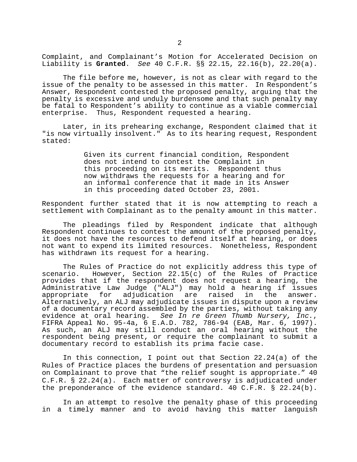Complaint, and Complainant's Motion for Accelerated Decision on Liability is **Granted**. See 40 C.F.R. §§ 22.15, 22.16(b), 22.20(a).

The file before me, however, is not as clear with regard to the issue of the penalty to be assessed in this matter. In Respondent's Answer, Respondent contested the proposed penalty, arguing that the penalty is excessive and unduly burdensome and that such penalty may be fatal to Respondent's ability to continue as a viable commercial enterprise. Thus, Respondent requested a hearing.

Later, in its prehearing exchange, Respondent claimed that it "is now virtually insolvent." As to its hearing request, Respondent stated:

> Given its current financial condition, Respondent does not intend to contest the Complaint in this proceeding on its merits. Respondent thus now withdraws the requests for a hearing and for an informal conference that it made in its Answer in this proceeding dated October 23, 2001.

Respondent further stated that it is now attempting to reach a settlement with Complainant as to the penalty amount in this matter.

The pleadings filed by Respondent indicate that although Respondent continues to contest the amount of the proposed penalty, it does not have the resources to defend itself at hearing, or does not want to expend its limited resources. Nonetheless, Respondent has withdrawn its request for a hearing.

The Rules of Practice do not explicitly address this type of scenario. However, Section 22.15(c) of the Rules of Practice provides that if the respondent does not request a hearing, the Administrative Law Judge ("ALJ") may hold a hearing if issues appropriate for adjudication are raised in the answer. Alternatively, an ALJ may adjudicate issues in dispute upon a review of a documentary record assembled by the parties, without taking any evidence at oral hearing. See In re Green Thumb Nursery, Inc., FIFRA Appeal No. 95-4a, 6 E.A.D. 782, 786-94 (EAB, Mar. 6, 1997). As such, an ALJ may still conduct an oral hearing without the respondent being present, or require the complainant to submit a documentary record to establish its prima facie case.

In this connection, I point out that Section 22.24(a) of the Rules of Practice places the burdens of presentation and persuasion on Complainant to prove that "the relief sought is appropriate." 40 C.F.R. § 22.24(a). Each matter of controversy is adjudicated under the preponderance of the evidence standard. 40 C.F.R. § 22.24(b).

In an attempt to resolve the penalty phase of this proceeding in a timely manner and to avoid having this matter languish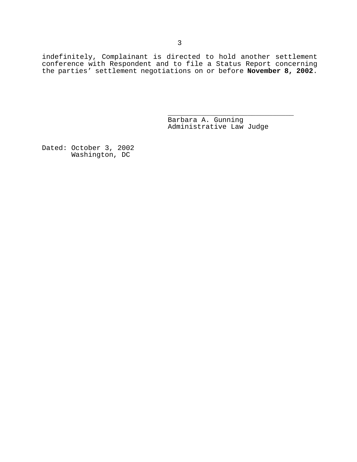indefinitely, Complainant is directed to hold another settlement conference with Respondent and to file a Status Report concerning the parties' settlement negotiations on or before **November 8, 2002**.

Barbara A. Gunning Administrative Law Judge

\_\_\_\_\_\_\_\_\_\_\_\_\_\_\_\_\_\_\_\_\_\_\_\_\_\_\_\_\_\_

Dated: October 3, 2002 Washington, DC